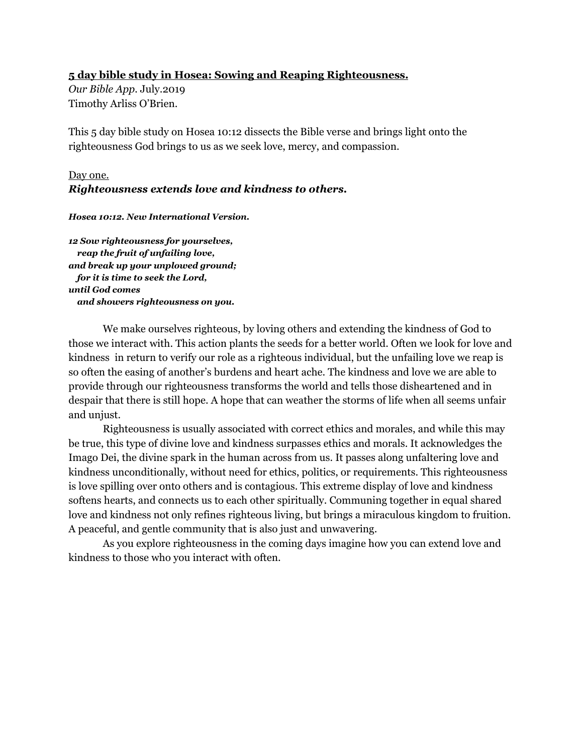#### **5 day bible study in Hosea: Sowing and Reaping Righteousness.**

*Our Bible App.* July.2019 Timothy Arliss O'Brien.

This 5 day bible study on Hosea 10:12 dissects the Bible verse and brings light onto the righteousness God brings to us as we seek love, mercy, and compassion.

#### Day one. *Righteousness extends love and kindness to others.*

*Hosea 10:12. New International Version.*

*12 Sow righteousness for yourselves, reap the fruit of unfailing love, and break up your unplowed ground; for it is time to seek the Lord, until God comes and showers righteousness on you.*

We make ourselves righteous, by loving others and extending the kindness of God to those we interact with. This action plants the seeds for a better world. Often we look for love and kindness in return to verify our role as a righteous individual, but the unfailing love we reap is so often the easing of another's burdens and heart ache. The kindness and love we are able to provide through our righteousness transforms the world and tells those disheartened and in despair that there is still hope. A hope that can weather the storms of life when all seems unfair and unjust.

Righteousness is usually associated with correct ethics and morales, and while this may be true, this type of divine love and kindness surpasses ethics and morals. It acknowledges the Imago Dei, the divine spark in the human across from us. It passes along unfaltering love and kindness unconditionally, without need for ethics, politics, or requirements. This righteousness is love spilling over onto others and is contagious. This extreme display of love and kindness softens hearts, and connects us to each other spiritually. Communing together in equal shared love and kindness not only refines righteous living, but brings a miraculous kingdom to fruition. A peaceful, and gentle community that is also just and unwavering.

As you explore righteousness in the coming days imagine how you can extend love and kindness to those who you interact with often.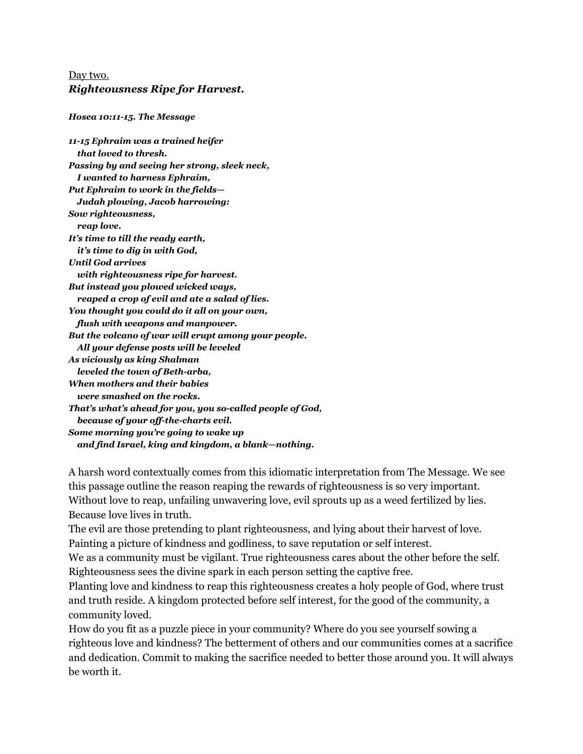### Day two. *Righteousness Ripe for Harvest.*

#### *Hosea 10:11-15. The Message*

*11-15 Ephraim was a trained heifer that loved to thresh. Passing by and seeing her strong, sleek neck, I wanted to harness Ephraim, Put Ephraim to work in the fields— Judah plowing, Jacob harrowing: Sow righteousness, reap love. It's time to till the ready earth, it's time to dig in with God, Until God arrives with righteousness ripe for harvest. But instead you plowed wicked ways, reaped a crop of evil and ate a salad of lies. You thought you could do it all on your own, flush with weapons and manpower. But the volcano of war will erupt among your people. All your defense posts will be leveled As viciously as king Shalman leveled the town of Beth-arba, When mothers and their babies were smashed on the rocks. That's what's ahead for you, you so-called people of God, because of your off-the-charts evil. Some morning you're going to wake up and find Israel, king and kingdom, a blank—nothing.*

A harsh word contextually comes from this idiomatic interpretation from The Message. We see this passage outline the reason reaping the rewards of righteousness is so very important. Without love to reap, unfailing unwavering love, evil sprouts up as a weed fertilized by lies. Because love lives in truth.

The evil are those pretending to plant righteousness, and lying about their harvest of love. Painting a picture of kindness and godliness, to save reputation or self interest.

We as a community must be vigilant. True righteousness cares about the other before the self. Righteousness sees the divine spark in each person setting the captive free.

Planting love and kindness to reap this righteousness creates a holy people of God, where trust and truth reside. A kingdom protected before self interest, for the good of the community, a community loved.

How do you fit as a puzzle piece in your community? Where do you see yourself sowing a righteous love and kindness? The betterment of others and our communities comes at a sacrifice and dedication. Commit to making the sacrifice needed to better those around you. It will always be worth it.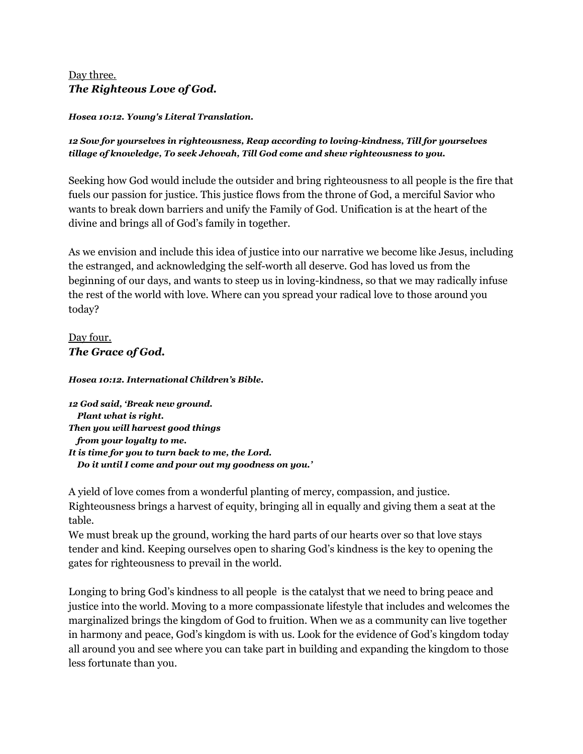## Day three. *The Righteous Love of God.*

*Hosea 10:12. Young's Literal Translation.*

#### *12 Sow for yourselves in righteousness, Reap according to loving-kindness, Till for yourselves tillage of knowledge, To seek Jehovah, Till God come and shew righteousness to you.*

Seeking how God would include the outsider and bring righteousness to all people is the fire that fuels our passion for justice. This justice flows from the throne of God, a merciful Savior who wants to break down barriers and unify the Family of God. Unification is at the heart of the divine and brings all of God's family in together.

As we envision and include this idea of justice into our narrative we become like Jesus, including the estranged, and acknowledging the self-worth all deserve. God has loved us from the beginning of our days, and wants to steep us in loving-kindness, so that we may radically infuse the rest of the world with love. Where can you spread your radical love to those around you today?

# Day four. *The Grace of God.*

*Hosea 10:12. International Children's Bible.*

*12 God said, 'Break new ground. Plant what is right. Then you will harvest good things from your loyalty to me. It is time for you to turn back to me, the Lord. Do it until I come and pour out my goodness on you.'*

A yield of love comes from a wonderful planting of mercy, compassion, and justice. Righteousness brings a harvest of equity, bringing all in equally and giving them a seat at the table.

We must break up the ground, working the hard parts of our hearts over so that love stays tender and kind. Keeping ourselves open to sharing God's kindness is the key to opening the gates for righteousness to prevail in the world.

Longing to bring God's kindness to all people is the catalyst that we need to bring peace and justice into the world. Moving to a more compassionate lifestyle that includes and welcomes the marginalized brings the kingdom of God to fruition. When we as a community can live together in harmony and peace, God's kingdom is with us. Look for the evidence of God's kingdom today all around you and see where you can take part in building and expanding the kingdom to those less fortunate than you.